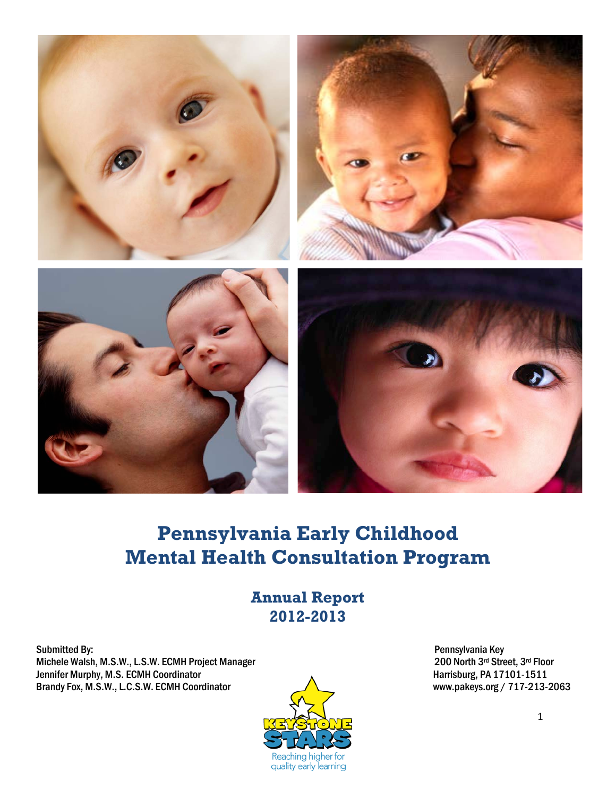

# **Pennsylvania Early Childhood Mental Health Consultation Program**

## **Annual Report 2012-2013**

Submitted By: Pennsylvania Key Michele Walsh, M.S.W., L.S.W. ECMH Project Manager<br>
Jennifer Murphy, M.S. ECMH Coordinator 200 North 3rd Street, 3rd Floor<br>
A Jennifer Murphy, M.S. ECMH Coordinator Corresponding to the Murphy, M.S. ECMH Coordinator Corresponding of the Mu<br>Brandy Fox, M.S.W., L.C.S.W. ECMH Coordinator Corresponding to the Murphy of the Murphy State of Table 1717-Brandy Fox, M.S.W., L.C.S.W. ECMH Coordinator

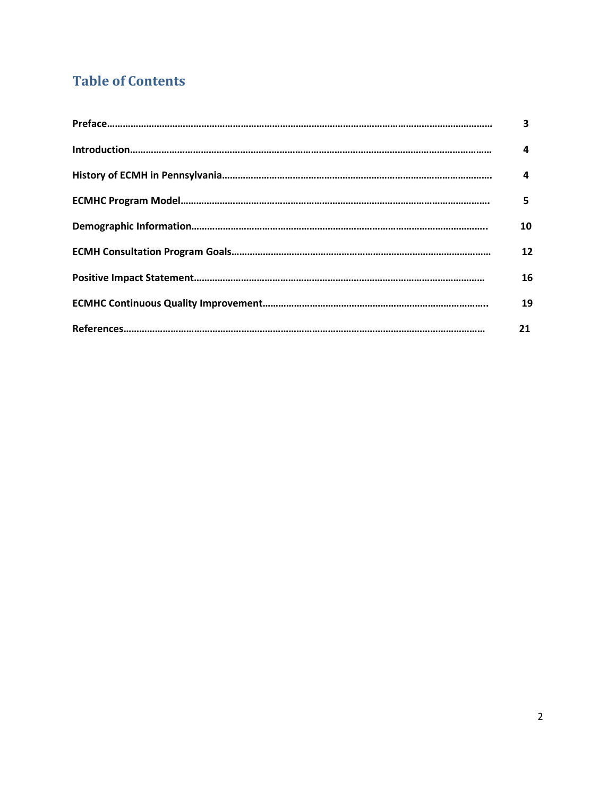## **Table of Contents**

| 3  |
|----|
| 4  |
| 4  |
| 5  |
| 10 |
| 12 |
| 16 |
| 19 |
| 21 |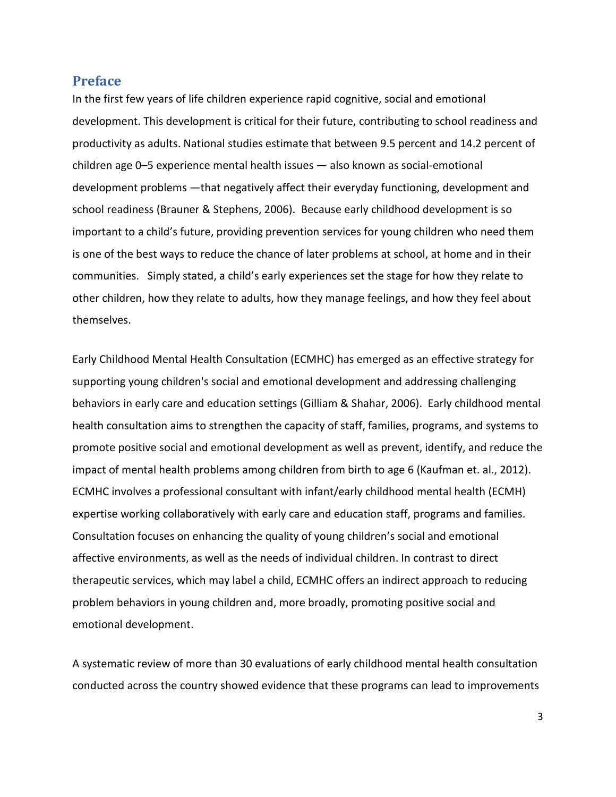#### **Preface**

In the first few years of life children experience rapid cognitive, social and emotional development. This development is critical for their future, contributing to school readiness and productivity as adults. National studies estimate that between 9.5 percent and 14.2 percent of children age 0–5 experience mental health issues — also known as social-emotional development problems —that negatively affect their everyday functioning, development and school readiness (Brauner & Stephens, 2006). Because early childhood development is so important to a child's future, providing prevention services for young children who need them is one of the best ways to reduce the chance of later problems at school, at home and in their communities. Simply stated, a child's early experiences set the stage for how they relate to other children, how they relate to adults, how they manage feelings, and how they feel about themselves.

Early Childhood Mental Health Consultation (ECMHC) has emerged as an effective strategy for supporting young children's social and emotional development and addressing challenging behaviors in early care and education settings (Gilliam & Shahar, 2006). Early childhood mental health consultation aims to strengthen the capacity of staff, families, programs, and systems to promote positive social and emotional development as well as prevent, identify, and reduce the impact of mental health problems among children from birth to age 6 (Kaufman et. al., 2012). ECMHC involves a professional consultant with infant/early childhood mental health (ECMH) expertise working collaboratively with early care and education staff, programs and families. Consultation focuses on enhancing the quality of young children's social and emotional affective environments, as well as the needs of individual children. In contrast to direct therapeutic services, which may label a child, ECMHC offers an indirect approach to reducing problem behaviors in young children and, more broadly, promoting positive social and emotional development.

A systematic review of more than 30 evaluations of early childhood mental health consultation conducted across the country showed evidence that these programs can lead to improvements

3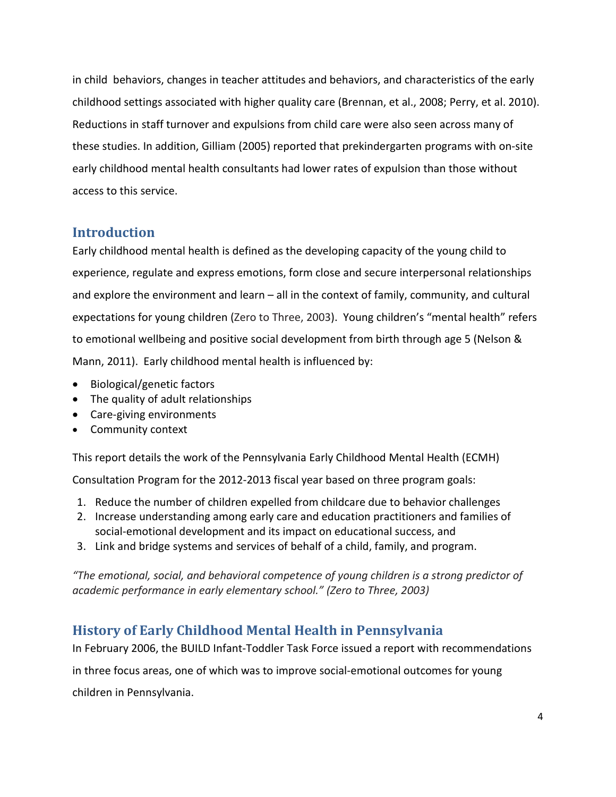in child behaviors, changes in teacher attitudes and behaviors, and characteristics of the early childhood settings associated with higher quality care (Brennan, et al., 2008; Perry, et al. 2010). Reductions in staff turnover and expulsions from child care were also seen across many of these studies. In addition, Gilliam (2005) reported that prekindergarten programs with on-site early childhood mental health consultants had lower rates of expulsion than those without access to this service.

#### **Introduction**

Early childhood mental health is defined as the developing capacity of the young child to experience, regulate and express emotions, form close and secure interpersonal relationships and explore the environment and learn – all in the context of family, community, and cultural expectations for young children (Zero to Three, 2003). Young children's "mental health" refers to emotional wellbeing and positive social development from birth through age 5 (Nelson & Mann, 2011). Early childhood mental health is influenced by:

- Biological/genetic factors
- The quality of adult relationships
- Care-giving environments
- Community context

This report details the work of the Pennsylvania Early Childhood Mental Health (ECMH)

Consultation Program for the 2012-2013 fiscal year based on three program goals:

- 1. Reduce the number of children expelled from childcare due to behavior challenges
- 2. Increase understanding among early care and education practitioners and families of social-emotional development and its impact on educational success, and
- 3. Link and bridge systems and services of behalf of a child, family, and program.

*"The emotional, social, and behavioral competence of young children is a strong predictor of academic performance in early elementary school." (Zero to Three, 2003)*

### **History of Early Childhood Mental Health in Pennsylvania**

In February 2006, the BUILD Infant-Toddler Task Force issued a report with recommendations

in three focus areas, one of which was to improve social-emotional outcomes for young

children in Pennsylvania.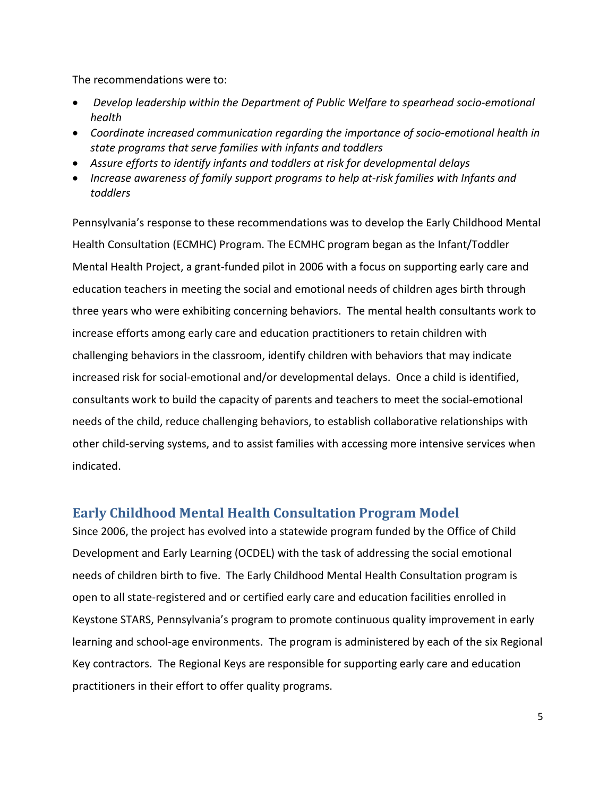The recommendations were to:

- *Develop leadership within the Department of Public Welfare to spearhead socio-emotional health*
- *Coordinate increased communication regarding the importance of socio-emotional health in state programs that serve families with infants and toddlers*
- *Assure efforts to identify infants and toddlers at risk for developmental delays*
- *Increase awareness of family support programs to help at-risk families with Infants and toddlers*

Pennsylvania's response to these recommendations was to develop the Early Childhood Mental Health Consultation (ECMHC) Program. The ECMHC program began as the Infant/Toddler Mental Health Project, a grant-funded pilot in 2006 with a focus on supporting early care and education teachers in meeting the social and emotional needs of children ages birth through three years who were exhibiting concerning behaviors. The mental health consultants work to increase efforts among early care and education practitioners to retain children with challenging behaviors in the classroom, identify children with behaviors that may indicate increased risk for social-emotional and/or developmental delays. Once a child is identified, consultants work to build the capacity of parents and teachers to meet the social-emotional needs of the child, reduce challenging behaviors, to establish collaborative relationships with other child-serving systems, and to assist families with accessing more intensive services when indicated.

### **Early Childhood Mental Health Consultation Program Model**

Since 2006, the project has evolved into a statewide program funded by the Office of Child Development and Early Learning (OCDEL) with the task of addressing the social emotional needs of children birth to five. The Early Childhood Mental Health Consultation program is open to all state-registered and or certified early care and education facilities enrolled in Keystone STARS, Pennsylvania's program to promote continuous quality improvement in early learning and school-age environments. The program is administered by each of the six Regional Key contractors. The Regional Keys are responsible for supporting early care and education practitioners in their effort to offer quality programs.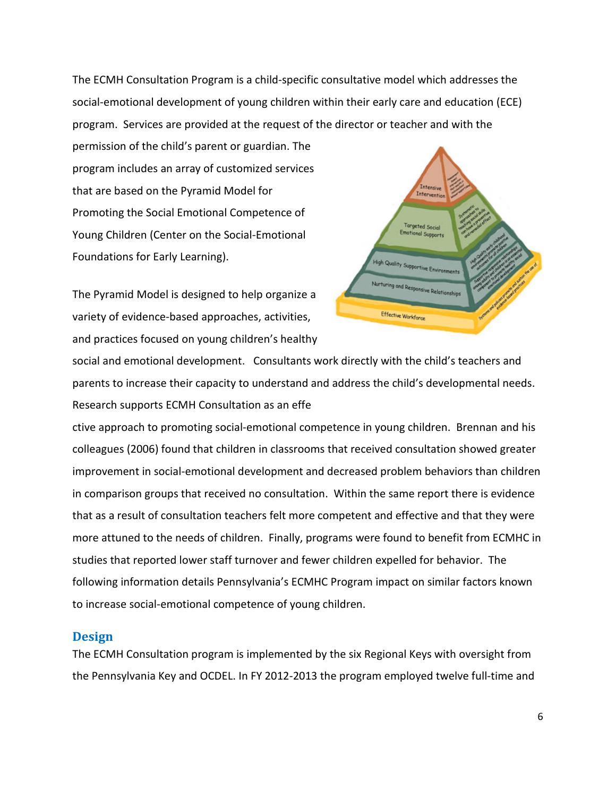The ECMH Consultation Program is a child-specific consultative model which addresses the social-emotional development of young children within their early care and education (ECE) program. Services are provided at the request of the director or teacher and with the

permission of the child's parent or guardian. The program includes an array of customized services that are based on the Pyramid Model for Promoting the Social Emotional Competence of Young Children (Center on the Social-Emotional Foundations for Early Learning).

The Pyramid Model is designed to help organize a variety of evidence-based approaches, activities, and practices focused on young children's healthy



social and emotional development. Consultants work directly with the child's teachers and parents to increase their capacity to understand and address the child's developmental needs. Research supports ECMH Consultation as an effe

ctive approach to promoting social-emotional competence in young children. Brennan and his colleagues (2006) found that children in classrooms that received consultation showed greater improvement in social-emotional development and decreased problem behaviors than children in comparison groups that received no consultation. Within the same report there is evidence that as a result of consultation teachers felt more competent and effective and that they were more attuned to the needs of children. Finally, programs were found to benefit from ECMHC in studies that reported lower staff turnover and fewer children expelled for behavior. The following information details Pennsylvania's ECMHC Program impact on similar factors known to increase social-emotional competence of young children.

#### **Design**

The ECMH Consultation program is implemented by the six Regional Keys with oversight from the Pennsylvania Key and OCDEL. In FY 2012-2013 the program employed twelve full-time and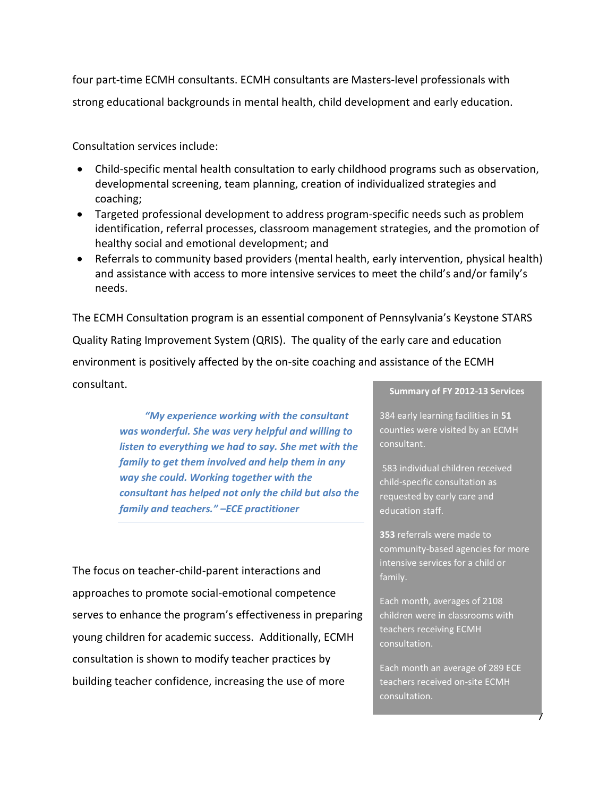four part-time ECMH consultants. ECMH consultants are Masters-level professionals with strong educational backgrounds in mental health, child development and early education.

Consultation services include:

- Child-specific mental health consultation to early childhood programs such as observation, developmental screening, team planning, creation of individualized strategies and coaching;
- Targeted professional development to address program-specific needs such as problem identification, referral processes, classroom management strategies, and the promotion of healthy social and emotional development; and
- Referrals to community based providers (mental health, early intervention, physical health) and assistance with access to more intensive services to meet the child's and/or family's needs.

The ECMH Consultation program is an essential component of Pennsylvania's Keystone STARS Quality Rating Improvement System (QRIS). The quality of the early care and education environment is positively affected by the on-site coaching and assistance of the ECMH consultant.

> *"My experience working with the consultant was wonderful. She was very helpful and willing to listen to everything we had to say. She met with the family to get them involved and help them in any way she could. Working together with the consultant has helped not only the child but also the family and teachers." –ECE practitioner*

The focus on teacher-child-parent interactions and approaches to promote social-emotional competence serves to enhance the program's effectiveness in preparing young children for academic success. Additionally, ECMH consultation is shown to modify teacher practices by building teacher confidence, increasing the use of more

#### **Summary of FY 2012-13 Services**

384 early learning facilities in **51** counties were visited by an ECMH consultant.

583 individual children received child-specific consultation as requested by early care and education staff.

**353** referrals were made to community-based agencies for more intensive services for a child or family.

Each month, averages of 2108 children were in classrooms with teachers receiving ECMH consultation.

Each month an average of 289 ECE teachers received on-site ECMH consultation.

7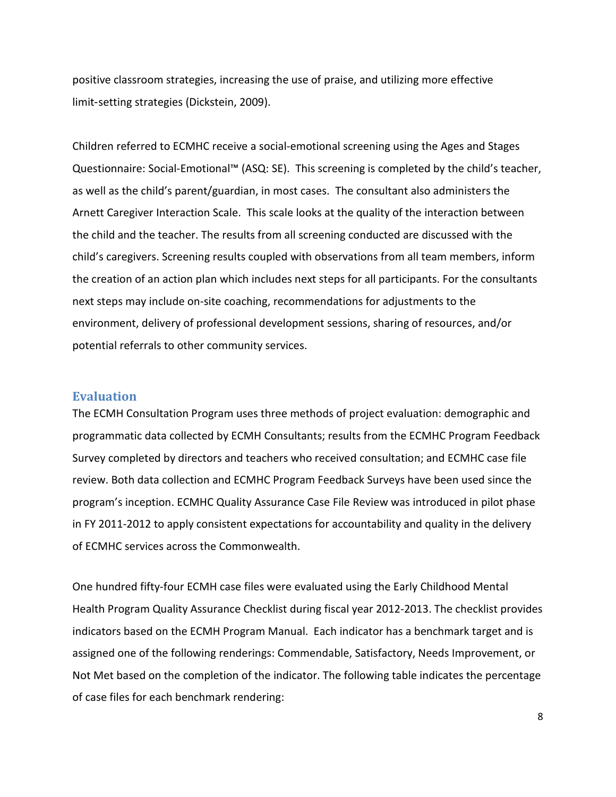positive classroom strategies, increasing the use of praise, and utilizing more effective limit‐setting strategies (Dickstein, 2009).

Children referred to ECMHC receive a social-emotional screening using the Ages and Stages Questionnaire: Social-Emotional™ (ASQ: SE). This screening is completed by the child's teacher, as well as the child's parent/guardian, in most cases. The consultant also administers the Arnett Caregiver Interaction Scale. This scale looks at the quality of the interaction between the child and the teacher. The results from all screening conducted are discussed with the child's caregivers. Screening results coupled with observations from all team members, inform the creation of an action plan which includes next steps for all participants. For the consultants next steps may include on-site coaching, recommendations for adjustments to the environment, delivery of professional development sessions, sharing of resources, and/or potential referrals to other community services.

#### **Evaluation**

The ECMH Consultation Program uses three methods of project evaluation: demographic and programmatic data collected by ECMH Consultants; results from the ECMHC Program Feedback Survey completed by directors and teachers who received consultation; and ECMHC case file review. Both data collection and ECMHC Program Feedback Surveys have been used since the program's inception. ECMHC Quality Assurance Case File Review was introduced in pilot phase in FY 2011-2012 to apply consistent expectations for accountability and quality in the delivery of ECMHC services across the Commonwealth.

One hundred fifty-four ECMH case files were evaluated using the Early Childhood Mental Health Program Quality Assurance Checklist during fiscal year 2012-2013. The checklist provides indicators based on the ECMH Program Manual. Each indicator has a benchmark target and is assigned one of the following renderings: Commendable, Satisfactory, Needs Improvement, or Not Met based on the completion of the indicator. The following table indicates the percentage of case files for each benchmark rendering:

8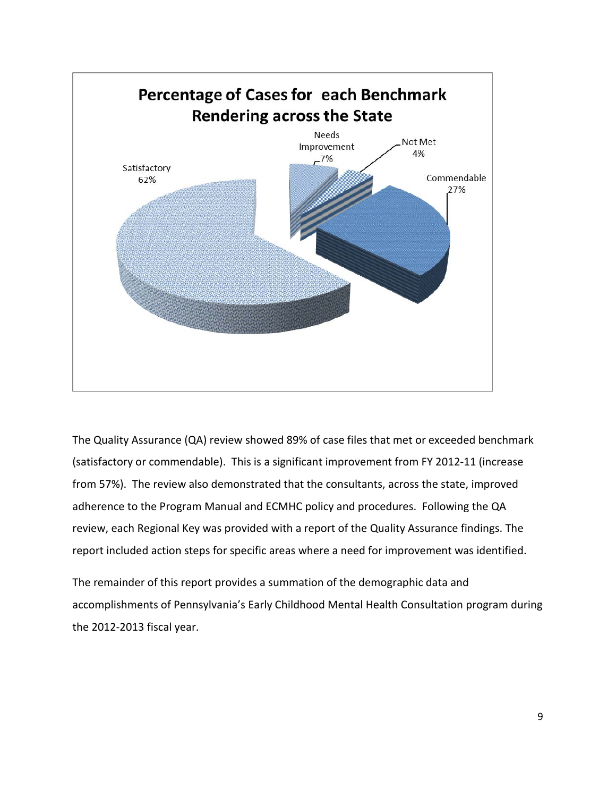

The Quality Assurance (QA) review showed 89% of case files that met or exceeded benchmark (satisfactory or commendable). This is a significant improvement from FY 2012-11 (increase from 57%). The review also demonstrated that the consultants, across the state, improved adherence to the Program Manual and ECMHC policy and procedures. Following the QA review, each Regional Key was provided with a report of the Quality Assurance findings. The report included action steps for specific areas where a need for improvement was identified.

The remainder of this report provides a summation of the demographic data and accomplishments of Pennsylvania's Early Childhood Mental Health Consultation program during the 2012-2013 fiscal year.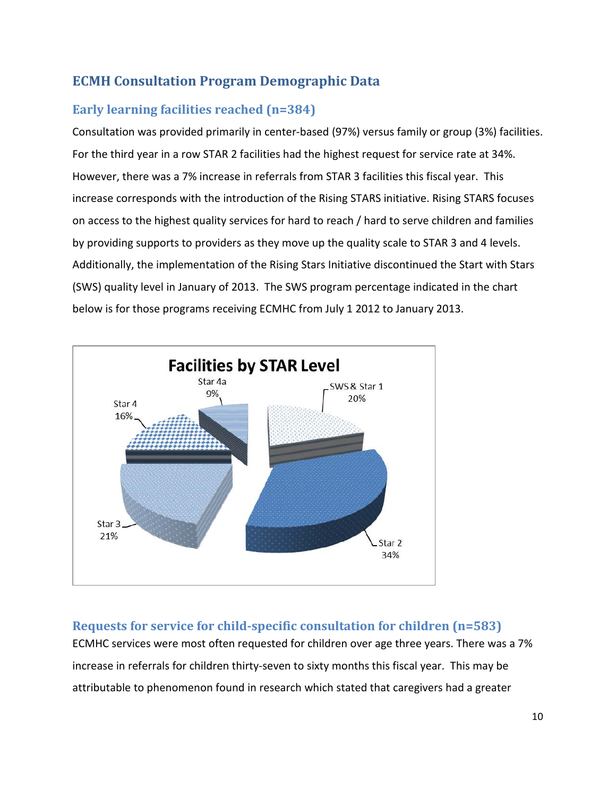### **ECMH Consultation Program Demographic Data**

### **Early learning facilities reached (n=384)**

Consultation was provided primarily in center-based (97%) versus family or group (3%) facilities. For the third year in a row STAR 2 facilities had the highest request for service rate at 34%. However, there was a 7% increase in referrals from STAR 3 facilities this fiscal year. This increase corresponds with the introduction of the Rising STARS initiative. Rising STARS focuses on access to the highest quality services for hard to reach / hard to serve children and families by providing supports to providers as they move up the quality scale to STAR 3 and 4 levels. Additionally, the implementation of the Rising Stars Initiative discontinued the Start with Stars (SWS) quality level in January of 2013. The SWS program percentage indicated in the chart below is for those programs receiving ECMHC from July 1 2012 to January 2013.



### **Requests for service for child-specific consultation for children (n=583)**

ECMHC services were most often requested for children over age three years. There was a 7% increase in referrals for children thirty-seven to sixty months this fiscal year. This may be attributable to phenomenon found in research which stated that caregivers had a greater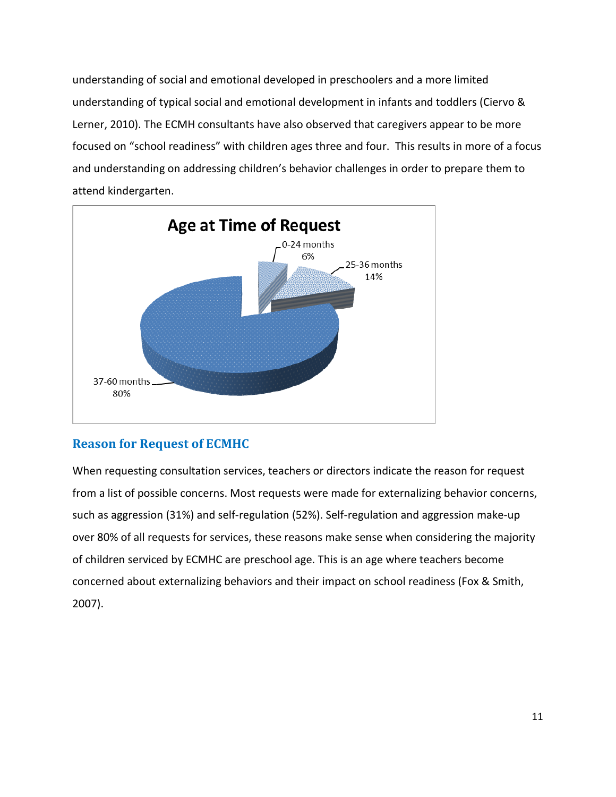understanding of social and emotional developed in preschoolers and a more limited understanding of typical social and emotional development in infants and toddlers (Ciervo & Lerner, 2010). The ECMH consultants have also observed that caregivers appear to be more focused on "school readiness" with children ages three and four. This results in more of a focus and understanding on addressing children's behavior challenges in order to prepare them to attend kindergarten.



### **Reason for Request of ECMHC**

When requesting consultation services, teachers or directors indicate the reason for request from a list of possible concerns. Most requests were made for externalizing behavior concerns, such as aggression (31%) and self-regulation (52%). Self-regulation and aggression make-up over 80% of all requests for services, these reasons make sense when considering the majority of children serviced by ECMHC are preschool age. This is an age where teachers become concerned about externalizing behaviors and their impact on school readiness (Fox & Smith, 2007).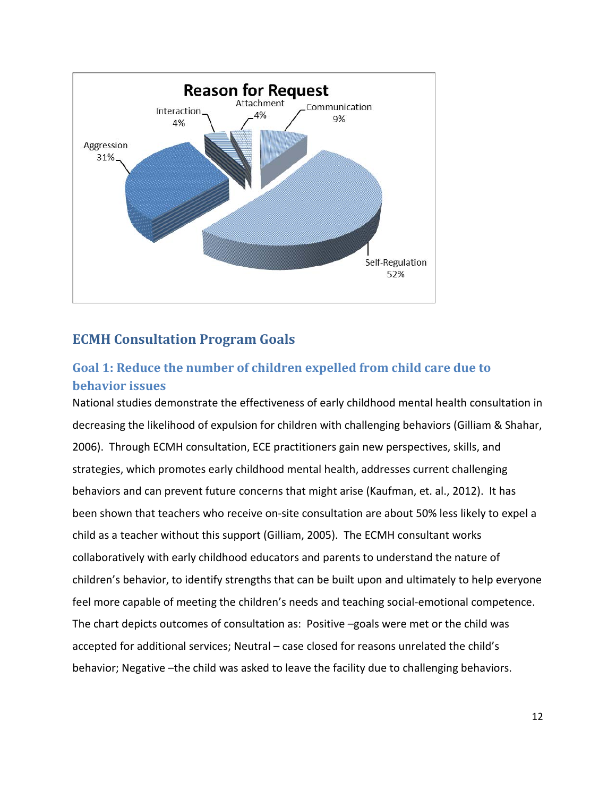

### **ECMH Consultation Program Goals**

### **Goal 1: Reduce the number of children expelled from child care due to behavior issues**

National studies demonstrate the effectiveness of early childhood mental health consultation in decreasing the likelihood of expulsion for children with challenging behaviors (Gilliam & Shahar, 2006). Through ECMH consultation, ECE practitioners gain new perspectives, skills, and strategies, which promotes early childhood mental health, addresses current challenging behaviors and can prevent future concerns that might arise (Kaufman, et. al., 2012). It has been shown that teachers who receive on-site consultation are about 50% less likely to expel a child as a teacher without this support (Gilliam, 2005). The ECMH consultant works collaboratively with early childhood educators and parents to understand the nature of children's behavior, to identify strengths that can be built upon and ultimately to help everyone feel more capable of meeting the children's needs and teaching social-emotional competence. The chart depicts outcomes of consultation as: Positive –goals were met or the child was accepted for additional services; Neutral – case closed for reasons unrelated the child's behavior; Negative –the child was asked to leave the facility due to challenging behaviors.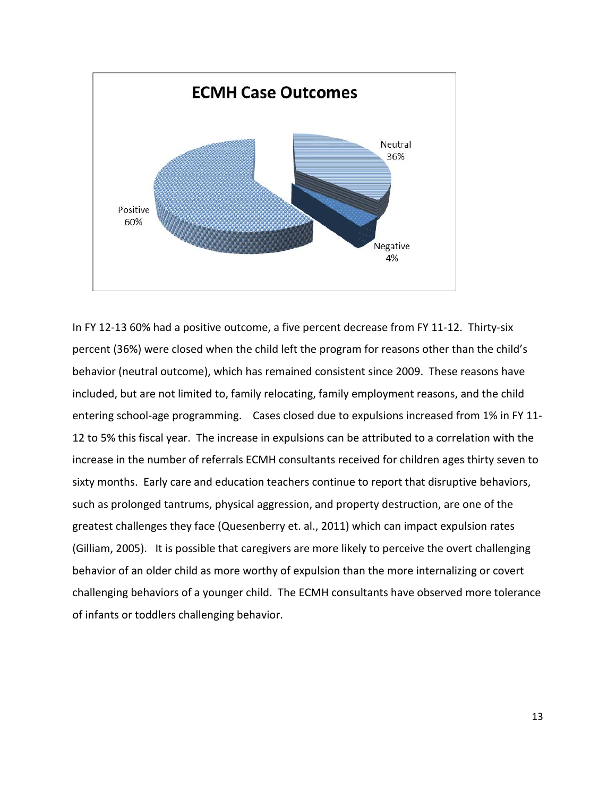

In FY 12-13 60% had a positive outcome, a five percent decrease from FY 11-12. Thirty-six percent (36%) were closed when the child left the program for reasons other than the child's behavior (neutral outcome), which has remained consistent since 2009. These reasons have included, but are not limited to, family relocating, family employment reasons, and the child entering school-age programming. Cases closed due to expulsions increased from 1% in FY 11- 12 to 5% this fiscal year. The increase in expulsions can be attributed to a correlation with the increase in the number of referrals ECMH consultants received for children ages thirty seven to sixty months. Early care and education teachers continue to report that disruptive behaviors, such as prolonged tantrums, physical aggression, and property destruction, are one of the greatest challenges they face (Quesenberry et. al., 2011) which can impact expulsion rates (Gilliam, 2005). It is possible that caregivers are more likely to perceive the overt challenging behavior of an older child as more worthy of expulsion than the more internalizing or covert challenging behaviors of a younger child. The ECMH consultants have observed more tolerance of infants or toddlers challenging behavior.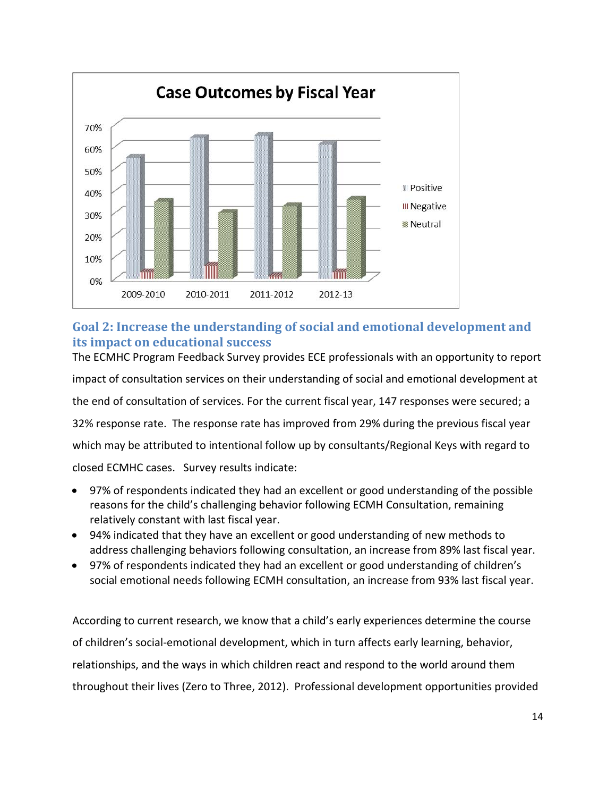

#### **Goal 2: Increase the understanding of social and emotional development and its impact on educational success**

The ECMHC Program Feedback Survey provides ECE professionals with an opportunity to report impact of consultation services on their understanding of social and emotional development at the end of consultation of services. For the current fiscal year, 147 responses were secured; a 32% response rate. The response rate has improved from 29% during the previous fiscal year which may be attributed to intentional follow up by consultants/Regional Keys with regard to closed ECMHC cases. Survey results indicate:

• 97% of respondents indicated they had an excellent or good understanding of the possible reasons for the child's challenging behavior following ECMH Consultation, remaining relatively constant with last fiscal year.

- 94% indicated that they have an excellent or good understanding of new methods to address challenging behaviors following consultation, an increase from 89% last fiscal year.
- 97% of respondents indicated they had an excellent or good understanding of children's social emotional needs following ECMH consultation, an increase from 93% last fiscal year.

According to current research, we know that a child's early experiences determine the course of children's social-emotional development, which in turn affects early learning, behavior, relationships, and the ways in which children react and respond to the world around them throughout their lives (Zero to Three, 2012). Professional development opportunities provided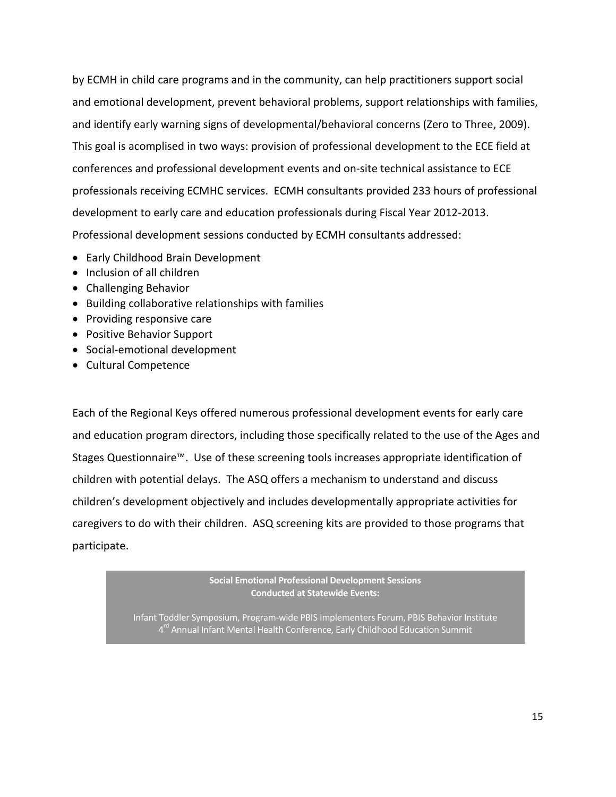by ECMH in child care programs and in the community, can help practitioners support social and emotional development, prevent behavioral problems, support relationships with families, and identify early warning signs of developmental/behavioral concerns (Zero to Three, 2009). This goal is acomplised in two ways: provision of professional development to the ECE field at conferences and professional development events and on-site technical assistance to ECE professionals receiving ECMHC services. ECMH consultants provided 233 hours of professional development to early care and education professionals during Fiscal Year 2012-2013. Professional development sessions conducted by ECMH consultants addressed:

- Early Childhood Brain Development
- Inclusion of all children
- Challenging Behavior
- Building collaborative relationships with families
- Providing responsive care
- Positive Behavior Support
- Social-emotional development
- Cultural Competence

Each of the Regional Keys offered numerous professional development events for early care and education program directors, including those specifically related to the use of the Ages and Stages Questionnaire™. Use of these screening tools increases appropriate identification of children with potential delays. The ASQ offers a mechanism to understand and discuss children's development objectively and includes developmentally appropriate activities for caregivers to do with their children. ASQ screening kits are provided to those programs that participate.

> **Social Emotional Professional Development Sessions Conducted at Statewide Events:**

Infant Toddler Symposium, Program-wide PBIS Implementers Forum, PBIS Behavior Institute 4<sup>rd</sup> Annual Infant Mental Health Conference, Early Childhood Education Summit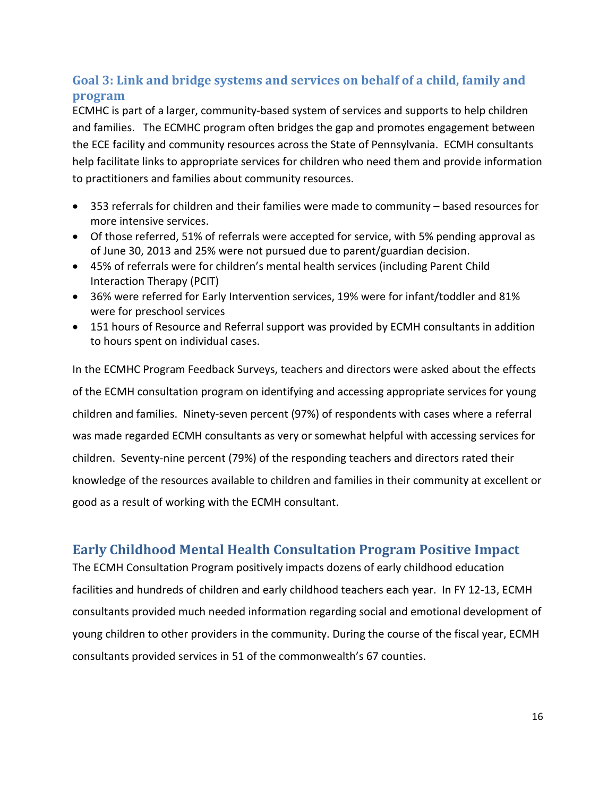### **Goal 3: Link and bridge systems and services on behalf of a child, family and program**

ECMHC is part of a larger, community-based system of services and supports to help children and families. The ECMHC program often bridges the gap and promotes engagement between the ECE facility and community resources across the State of Pennsylvania.ECMH consultants help facilitate links to appropriate services for children who need them and provide information to practitioners and families about community resources.

- 353 referrals for children and their families were made to community based resources for more intensive services.
- Of those referred, 51% of referrals were accepted for service, with 5% pending approval as of June 30, 2013 and 25% were not pursued due to parent/guardian decision.
- 45% of referrals were for children's mental health services (including Parent Child Interaction Therapy (PCIT)
- 36% were referred for Early Intervention services, 19% were for infant/toddler and 81% were for preschool services
- 151 hours of Resource and Referral support was provided by ECMH consultants in addition to hours spent on individual cases.

In the ECMHC Program Feedback Surveys, teachers and directors were asked about the effects of the ECMH consultation program on identifying and accessing appropriate services for young children and families. Ninety-seven percent (97%) of respondents with cases where a referral was made regarded ECMH consultants as very or somewhat helpful with accessing services for children. Seventy-nine percent (79%) of the responding teachers and directors rated their knowledge of the resources available to children and families in their community at excellent or good as a result of working with the ECMH consultant.

### **Early Childhood Mental Health Consultation Program Positive Impact**

The ECMH Consultation Program positively impacts dozens of early childhood education facilities and hundreds of children and early childhood teachers each year. In FY 12-13, ECMH consultants provided much needed information regarding social and emotional development of young children to other providers in the community. During the course of the fiscal year, ECMH consultants provided services in 51 of the commonwealth's 67 counties.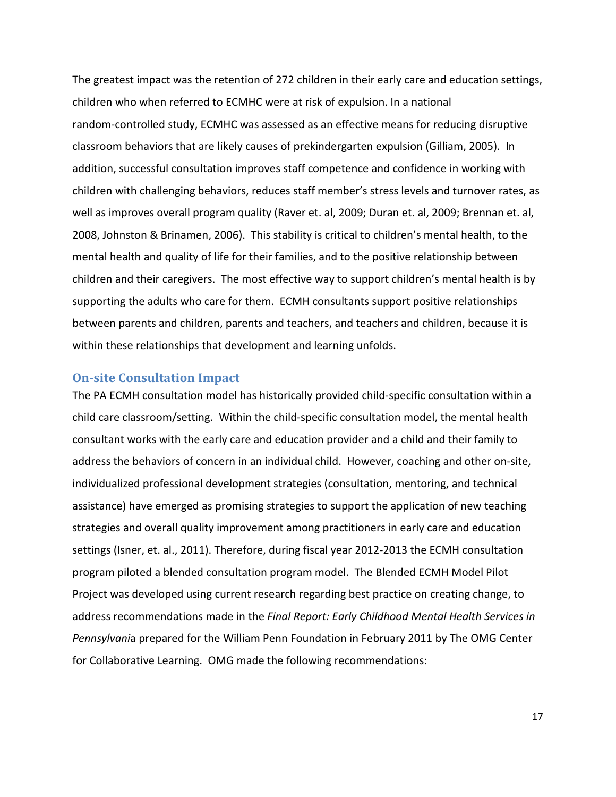The greatest impact was the retention of 272 children in their early care and education settings, children who when referred to ECMHC were at risk of expulsion. In a national random-controlled study, ECMHC was assessed as an effective means for reducing disruptive classroom behaviors that are likely causes of prekindergarten expulsion (Gilliam, 2005). In addition, successful consultation improves staff competence and confidence in working with children with challenging behaviors, reduces staff member's stress levels and turnover rates, as well as improves overall program quality (Raver et. al, 2009; Duran et. al, 2009; Brennan et. al, 2008, Johnston & Brinamen, 2006). This stability is critical to children's mental health, to the mental health and quality of life for their families, and to the positive relationship between children and their caregivers. The most effective way to support children's mental health is by supporting the adults who care for them. ECMH consultants support positive relationships between parents and children, parents and teachers, and teachers and children, because it is within these relationships that development and learning unfolds.

#### **On-site Consultation Impact**

The PA ECMH consultation model has historically provided child-specific consultation within a child care classroom/setting. Within the child-specific consultation model, the mental health consultant works with the early care and education provider and a child and their family to address the behaviors of concern in an individual child. However, coaching and other on-site, individualized professional development strategies (consultation, mentoring, and technical assistance) have emerged as promising strategies to support the application of new teaching strategies and overall quality improvement among practitioners in early care and education settings (Isner, et. al., 2011). Therefore, during fiscal year 2012-2013 the ECMH consultation program piloted a blended consultation program model. The Blended ECMH Model Pilot Project was developed using current research regarding best practice on creating change, to address recommendations made in the *Final Report: Early Childhood Mental Health Services in Pennsylvani*a prepared for the William Penn Foundation in February 2011 by The OMG Center for Collaborative Learning. OMG made the following recommendations: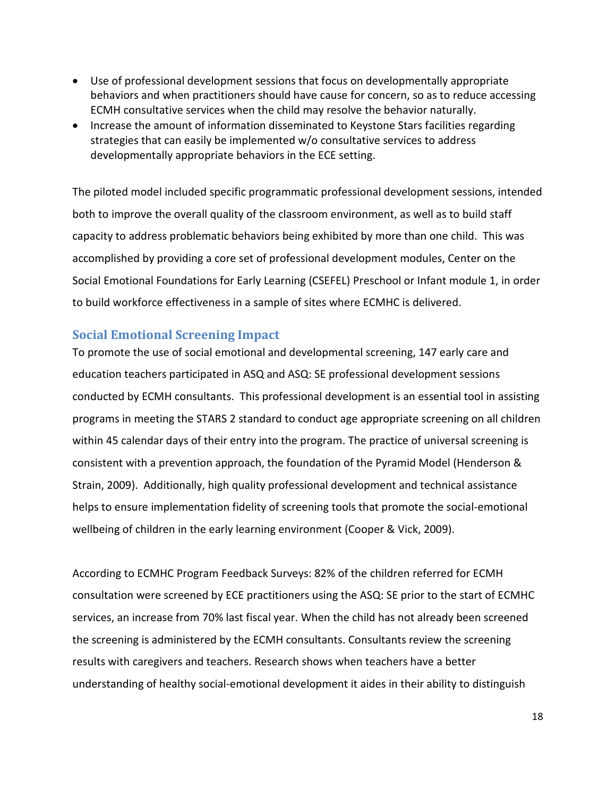- Use of professional development sessions that focus on developmentally appropriate behaviors and when practitioners should have cause for concern, so as to reduce accessing ECMH consultative services when the child may resolve the behavior naturally.
- Increase the amount of information disseminated to Keystone Stars facilities regarding strategies that can easily be implemented w/o consultative services to address developmentally appropriate behaviors in the ECE setting.

The piloted model included specific programmatic professional development sessions, intended both to improve the overall quality of the classroom environment, as well as to build staff capacity to address problematic behaviors being exhibited by more than one child. This was accomplished by providing a core set of professional development modules, Center on the Social Emotional Foundations for Early Learning (CSEFEL) Preschool or Infant module 1, in order to build workforce effectiveness in a sample of sites where ECMHC is delivered.

#### **Social Emotional Screening Impact**

To promote the use of social emotional and developmental screening, 147 early care and education teachers participated in ASQ and ASQ: SE professional development sessions conducted by ECMH consultants. This professional development is an essential tool in assisting programs in meeting the STARS 2 standard to conduct age appropriate screening on all children within 45 calendar days of their entry into the program. The practice of universal screening is consistent with a prevention approach, the foundation of the Pyramid Model (Henderson & Strain, 2009). Additionally, high quality professional development and technical assistance helps to ensure implementation fidelity of screening tools that promote the social-emotional wellbeing of children in the early learning environment (Cooper & Vick, 2009).

According to ECMHC Program Feedback Surveys: 82% of the children referred for ECMH consultation were screened by ECE practitioners using the ASQ: SE prior to the start of ECMHC services, an increase from 70% last fiscal year. When the child has not already been screened the screening is administered by the ECMH consultants. Consultants review the screening results with caregivers and teachers. Research shows when teachers have a better understanding of healthy social-emotional development it aides in their ability to distinguish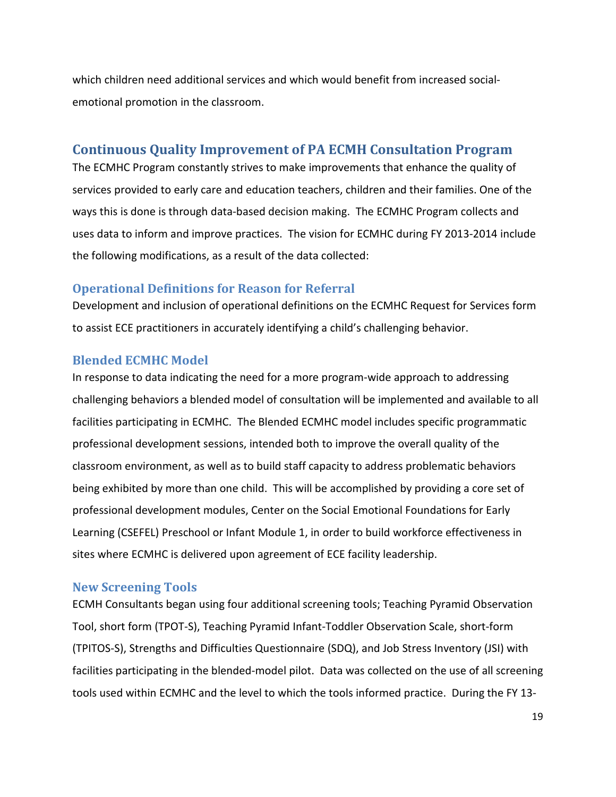which children need additional services and which would benefit from increased socialemotional promotion in the classroom.

#### **Continuous Quality Improvement of PA ECMH Consultation Program**

The ECMHC Program constantly strives to make improvements that enhance the quality of services provided to early care and education teachers, children and their families. One of the ways this is done is through data-based decision making. The ECMHC Program collects and uses data to inform and improve practices. The vision for ECMHC during FY 2013-2014 include the following modifications, as a result of the data collected:

#### **Operational Definitions for Reason for Referral**

Development and inclusion of operational definitions on the ECMHC Request for Services form to assist ECE practitioners in accurately identifying a child's challenging behavior.

#### **Blended ECMHC Model**

In response to data indicating the need for a more program-wide approach to addressing challenging behaviors a blended model of consultation will be implemented and available to all facilities participating in ECMHC. The Blended ECMHC model includes specific programmatic professional development sessions, intended both to improve the overall quality of the classroom environment, as well as to build staff capacity to address problematic behaviors being exhibited by more than one child. This will be accomplished by providing a core set of professional development modules, Center on the Social Emotional Foundations for Early Learning (CSEFEL) Preschool or Infant Module 1, in order to build workforce effectiveness in sites where ECMHC is delivered upon agreement of ECE facility leadership.

#### **New Screening Tools**

ECMH Consultants began using four additional screening tools; Teaching Pyramid Observation Tool, short form (TPOT-S), Teaching Pyramid Infant-Toddler Observation Scale, short-form (TPITOS-S), Strengths and Difficulties Questionnaire (SDQ), and Job Stress Inventory (JSI) with facilities participating in the blended-model pilot. Data was collected on the use of all screening tools used within ECMHC and the level to which the tools informed practice. During the FY 13-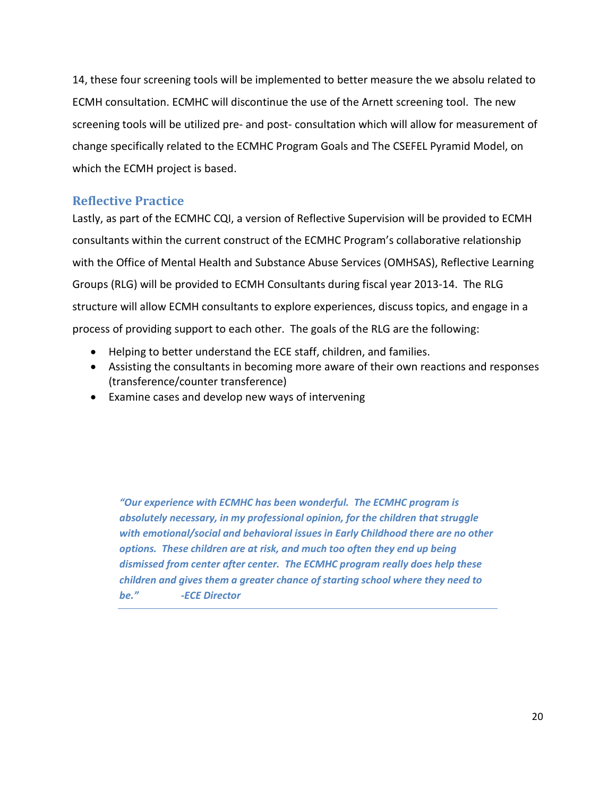14, these four screening tools will be implemented to better measure the we absolu related to ECMH consultation. ECMHC will discontinue the use of the Arnett screening tool. The new screening tools will be utilized pre- and post- consultation which will allow for measurement of change specifically related to the ECMHC Program Goals and The CSEFEL Pyramid Model, on which the ECMH project is based.

#### **Reflective Practice**

Lastly, as part of the ECMHC CQI, a version of Reflective Supervision will be provided to ECMH consultants within the current construct of the ECMHC Program's collaborative relationship with the Office of Mental Health and Substance Abuse Services (OMHSAS), Reflective Learning Groups (RLG) will be provided to ECMH Consultants during fiscal year 2013-14. The RLG structure will allow ECMH consultants to explore experiences, discuss topics, and engage in a process of providing support to each other. The goals of the RLG are the following:

- Helping to better understand the ECE staff, children, and families.
- Assisting the consultants in becoming more aware of their own reactions and responses (transference/counter transference)
- Examine cases and develop new ways of intervening

*"Our experience with ECMHC has been wonderful. The ECMHC program is absolutely necessary, in my professional opinion, for the children that struggle with emotional/social and behavioral issues in Early Childhood there are no other options. These children are at risk, and much too often they end up being dismissed from center after center. The ECMHC program really does help these children and gives them a greater chance of starting school where they need to be." -ECE Director*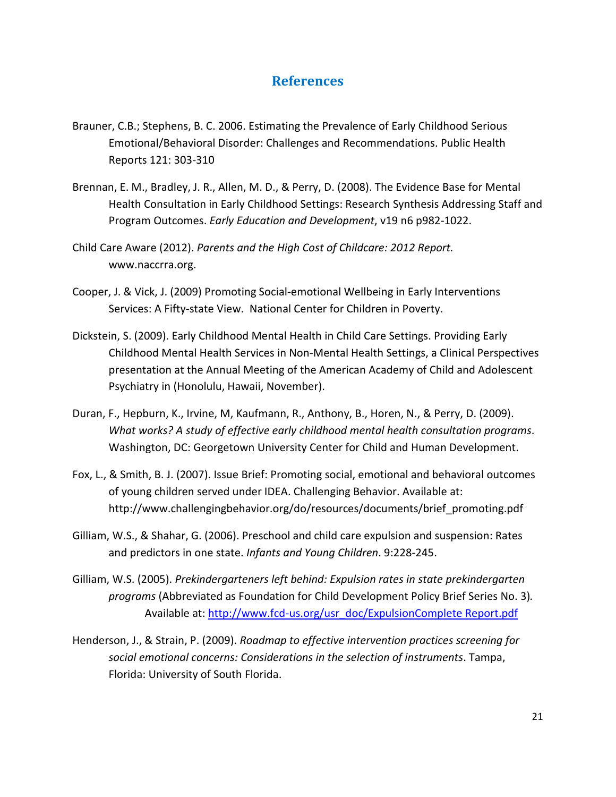#### **References**

- Brauner, C.B.; Stephens, B. C. 2006. Estimating the Prevalence of Early Childhood Serious Emotional/Behavioral Disorder: Challenges and Recommendations. Public Health Reports 121: 303-310
- Brennan, E. M., Bradley, J. R., Allen, M. D., & Perry, D. (2008). The Evidence Base for Mental Health Consultation in Early Childhood Settings: Research Synthesis Addressing Staff and Program Outcomes. *Early Education and Development*, v19 n6 p982-1022.
- Child Care Aware (2012). *Parents and the High Cost of Childcare: 2012 Report.*  www.naccrra.org.
- Cooper, J. & Vick, J. (2009) Promoting Social-emotional Wellbeing in Early Interventions Services: A Fifty-state View. National Center for Children in Poverty.
- Dickstein, S. (2009). Early Childhood Mental Health in Child Care Settings. Providing Early Childhood Mental Health Services in Non-Mental Health Settings, a Clinical Perspectives presentation at the Annual Meeting of the American Academy of Child and Adolescent Psychiatry in (Honolulu, Hawaii, November).
- Duran, F., Hepburn, K., Irvine, M, Kaufmann, R., Anthony, B., Horen, N., & Perry, D. (2009). *What works? A study of effective early childhood mental health consultation programs*. Washington, DC: Georgetown University Center for Child and Human Development.
- Fox, L., & Smith, B. J. (2007). Issue Brief: Promoting social, emotional and behavioral outcomes of young children served under IDEA. Challenging Behavior. Available at: http://www.challengingbehavior.org/do/resources/documents/brief\_promoting.pdf
- Gilliam, W.S., & Shahar, G. (2006). Preschool and child care expulsion and suspension: Rates and predictors in one state. *Infants and Young Children*. 9:228-245.
- Gilliam, W.S. (2005). *Prekindergarteners left behind: Expulsion rates in state prekindergarten programs* (Abbreviated as Foundation for Child Development Policy Brief Series No. 3)*.*  Available at: [http://www.fcd-us.org/usr\\_doc/ExpulsionComplete Report.pdf](http://www.fcd-us.org/usr_doc/ExpulsionComplete%20Report.pdf)
- Henderson, J., & Strain, P. (2009). *Roadmap to effective intervention practices screening for social emotional concerns: Considerations in the selection of instruments*. Tampa, Florida: University of South Florida.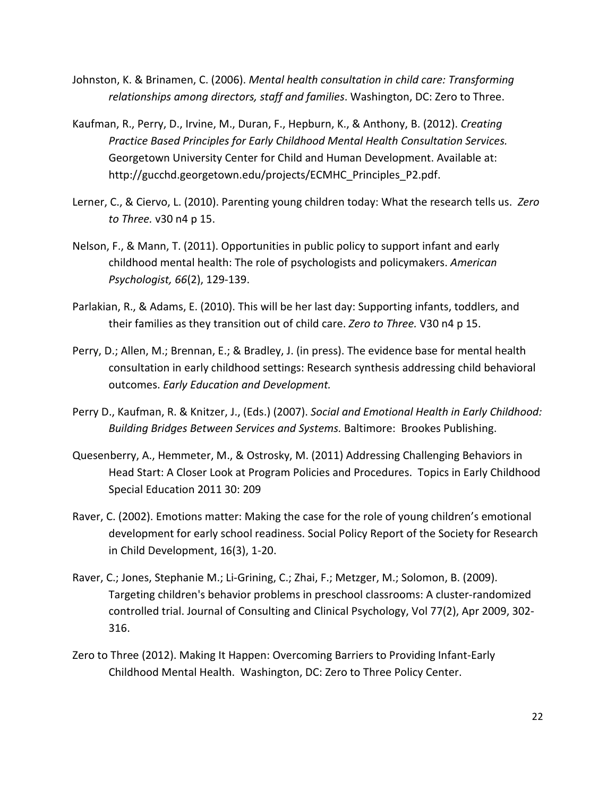- Johnston, K. & Brinamen, C. (2006). *Mental health consultation in child care: Transforming relationships among directors, staff and families*. Washington, DC: Zero to Three.
- Kaufman, R., Perry, D., Irvine, M., Duran, F., Hepburn, K., & Anthony, B. (2012). *Creating Practice Based Principles for Early Childhood Mental Health Consultation Services.* Georgetown University Center for Child and Human Development. Available at: http://gucchd.georgetown.edu/projects/ECMHC\_Principles\_P2.pdf.
- Lerner, C., & Ciervo, L. (2010). Parenting young children today: What the research tells us. *Zero to Three.* v30 n4 p 15.
- Nelson, F., & Mann, T. (2011). Opportunities in public policy to support infant and early childhood mental health: The role of psychologists and policymakers. *American Psychologist, 66*(2), 129-139.
- Parlakian, R., & Adams, E. (2010). This will be her last day: Supporting infants, toddlers, and their families as they transition out of child care. *Zero to Three.* V30 n4 p 15.
- Perry, D.; Allen, M.; Brennan, E.; & Bradley, J. (in press). The evidence base for mental health consultation in early childhood settings: Research synthesis addressing child behavioral outcomes. *Early Education and Development.*
- Perry D., Kaufman, R. & Knitzer, J., (Eds.) (2007). *Social and Emotional Health in Early Childhood: Building Bridges Between Services and Systems.* Baltimore: Brookes Publishing.
- Quesenberry, A., Hemmeter, M., & Ostrosky, M. (2011) Addressing Challenging Behaviors in Head Start: A Closer Look at Program Policies and Procedures. Topics in Early Childhood Special Education 2011 30: 209
- Raver, C. (2002). Emotions matter: Making the case for the role of young children's emotional development for early school readiness. Social Policy Report of the Society for Research in Child Development, 16(3), 1-20.
- Raver, C.; Jones, Stephanie M.; Li-Grining, C.; Zhai, F.; Metzger, M.; Solomon, B. (2009). Targeting children's behavior problems in preschool classrooms: A cluster-randomized controlled trial. Journal of Consulting and Clinical Psychology, Vol 77(2), Apr 2009, 302- 316.
- Zero to Three (2012). Making It Happen: Overcoming Barriers to Providing Infant-Early Childhood Mental Health. Washington, DC: Zero to Three Policy Center.